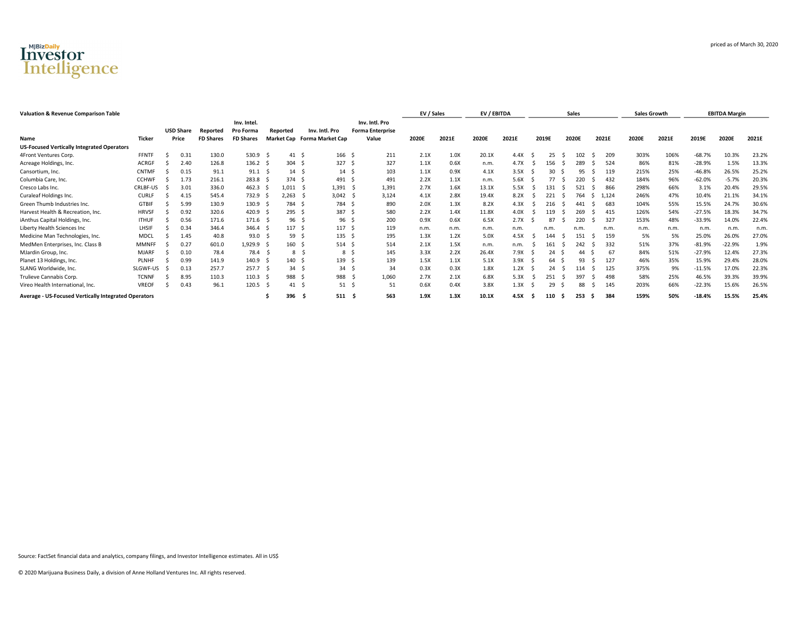

| <b>Valuation &amp; Revenue Comparison Table</b>      |              |                  |                  |                  |          |       |                                    |     |                         | EV / Sales |       | EV / EBITDA |       |   |       |    | Sales |            | <b>Sales Growth</b> |       |          | <b>EBITDA Margin</b> |       |
|------------------------------------------------------|--------------|------------------|------------------|------------------|----------|-------|------------------------------------|-----|-------------------------|------------|-------|-------------|-------|---|-------|----|-------|------------|---------------------|-------|----------|----------------------|-------|
|                                                      |              |                  |                  | Inv. Intel.      |          |       |                                    |     | Inv. Intl. Pro          |            |       |             |       |   |       |    |       |            |                     |       |          |                      |       |
|                                                      |              | <b>USD Share</b> | Reported         | Pro Forma        | Reported |       | Inv. Intl. Pro                     |     | <b>Forma Enterprise</b> |            |       |             |       |   |       |    |       |            |                     |       |          |                      |       |
| Name                                                 | Ticker       | Price            | <b>FD Shares</b> | <b>FD Shares</b> |          |       | <b>Market Cap</b> Forma Market Cap |     | Value                   | 2020E      | 2021E | 2020E       | 2021E |   | 2019E |    | 2020E | 2021E      | 2020E               | 2021E | 2019E    | 2020E                | 2021E |
| <b>US-Focused Vertically Integrated Operators</b>    |              |                  |                  |                  |          |       |                                    |     |                         |            |       |             |       |   |       |    |       |            |                     |       |          |                      |       |
| 4Front Ventures Corp.                                | <b>FFNTF</b> | 0.31             | 130.0            | $530.9$ \$       |          | 41    | 166 <sup>5</sup>                   |     | 211                     | 2.1X       | 1.0X  | 20.1X       | 4.4X  |   | 25    |    | 102   | 209<br>-S  | 303%                | 106%  | $-68.7%$ | 10.3%                | 23.2% |
| Acreage Holdings, Inc.                               | ACRGF        | 2.40             | 126.8            | 136.2            |          | 304   | 327                                |     | 327                     | 1.1X       | 0.6X  | n.m.        | 4.7X  |   | 156   |    | 289   | 524        | 86%                 | 81%   | $-28.9%$ | 1.5%                 | 13.3% |
| Cansortium, Inc.                                     | <b>CNTMF</b> | 0.15             | 91.1             | 91.1             |          | 14    | 14                                 |     | 103                     | 1.1X       | 0.9X  | 4.1X        | 3.5X  |   | 30    |    | 95    | 119        | 215%                | 25%   | $-46.8%$ | 26.5%                | 25.2% |
| Columbia Care, Inc.                                  | <b>CCHWF</b> | 1.73             | 216.1            | 283.8            |          | 374   | 491                                |     | 491                     | 2.2X       | 1.1X  | n.m.        | 5.6X  |   | 77    |    | 220   | 432        | 184%                | 96%   | $-62.0%$ | $-5.7%$              | 20.3% |
| Cresco Labs Inc.                                     | CRLBF-US     | 3.01             | 336.0            | 462.3            |          | 1,011 | 1,391                              |     | 1,391                   | 2.7X       | 1.6X  | 13.1X       | 5.5X  |   | 131   |    | 521   | 866        | 298%                | 66%   | 3.1%     | 20.4%                | 29.5% |
| Curaleaf Holdings Inc.                               | <b>CURLI</b> | 4.15             | 545.4            | 732.9            | -S       | 2.263 | 3.042                              |     | 3,124                   | 4.1X       | 2.8X  | 19.4X       | 8.2X  |   | 221   |    | 764   | 1.124<br>s | 246%                | 47%   | 10.4%    | 21.1%                | 34.1% |
| Green Thumb Industries Inc.                          | <b>GTBIF</b> | 5.99             | 130.9            | 130.9            |          | 784   | 784                                |     | 890                     | 2.0X       | 1.3X  | 8.2X        | 4.3X  |   | 216   | -S | 441   | 683<br>.S  | 104%                | 55%   | 15.5%    | 24.7%                | 30.6% |
| Harvest Health & Recreation, Inc.                    | <b>HRVSF</b> | 0.92             | 320.6            | 420.9            |          | 295   | 387                                |     | 580                     | 2.2X       | 1.4X  | 11.8X       | 4.0X  |   | 119   |    | 269   | 415        | 126%                | 54%   | $-27.5%$ | 18.3%                | 34.7% |
| iAnthus Capital Holdings, Inc.                       | <b>ITHUF</b> | 0.56             | 171.6            | $171.6$ \$       |          | 96    | 96                                 |     | 200                     | 0.9X       | 0.6X  | 6.5X        | 2.7X  |   | 87    |    | 220   | 327        | 153%                | 48%   | $-33.9%$ | 14.0%                | 22.4% |
| Liberty Health Sciences Inc                          | LHSIF        | 0.34             | 346.4            | 346.4            |          | 117   | 117                                |     | 119                     | n.m.       | n.m.  | n.m.        | n.m.  |   | n.m   |    | n.m.  | n.m.       | n.m.                | n.m.  | n.m.     | n.m                  | n.m   |
| Medicine Man Technologies, Inc.                      | MDCI         | 1.45             | 40.8             | 93.0             |          | 59    | 135                                |     | 195                     | 1.3X       | 1.2X  | 5.0X        | 4.5X  |   | 144   |    | 151   | 159<br>S   | 5%                  | 5%    | 25.0%    | 26.0%                | 27.0% |
| MedMen Enterprises, Inc. Class B                     | MMNFF        | 0.27             | 601.0            | 1,929.9          |          | 160   | 514                                | - 5 | 514                     | 2.1X       | 1.5X  | n.m.        | n.m.  |   | 161   |    | 242   | 332        | 51%                 | 37%   | $-81.9%$ | $-22.9%$             | 1.9%  |
| MJardin Group, Inc.                                  | <b>MJARF</b> | 0.10             | 78.4             | 78.4             |          | 8     | 8                                  |     | 145                     | 3.3X       | 2.2X  | 26.4X       | 7.9X  |   | 24    |    | 44    | 67         | 84%                 | 51%   | $-27.9%$ | 12.4%                | 27.3% |
| Planet 13 Holdings, Inc.                             | <b>PLNHF</b> | 0.99             | 141.9            | 140.9            |          | 140   | 139                                | - 2 | 139                     | 1.5X       | 1.1X  | 5.1X        | 3.9X  |   | 64    |    | 93    | 127        | 46%                 | 35%   | 15.9%    | 29.4%                | 28.0% |
| SLANG Worldwide, Inc.                                | SLGWF-US     | 0.13             | 257.7            | 257.7            |          | 34    | 34                                 |     | 34                      | 0.3X       | 0.3X  | 1.8X        | 1.2X  |   | 24    |    |       | 125        | 375%                | 9%    | $-11.5%$ | 17.0%                | 22.3% |
| Trulieve Cannabis Corp.                              | <b>TCNNF</b> | 8.95             | 110.3            | 110.3            |          | 988   | 988                                |     | 1,060                   | 2.7X       | 2.1X  | 6.8X        | 5.3X  |   | 251   |    | 397   | 498<br>.S  | 58%                 | 25%   | 46.5%    | 39.3%                | 39.9% |
| Vireo Health International, Inc.                     | <b>VREOF</b> | 0.43             | 96.1             | 120.5            |          | 41    | 51                                 |     | 51                      | 0.6X       | 0.4X  | 3.8X        | 1.3X  |   | 29    |    | 88    | 145<br>.S  | 203%                | 66%   | $-22.3%$ | 15.6%                | 26.5% |
| Average - US-Focused Vertically Integrated Operators |              |                  |                  |                  |          | 396   | $511 \quad $$<br>- S               |     | 563                     | 1.9X       | 1.3X  | 10.1X       | 4.5X  | S | 110   | -S | 253   | 384<br>- S | 159%                | 50%   | $-18.4%$ | 15.5%                | 25.4% |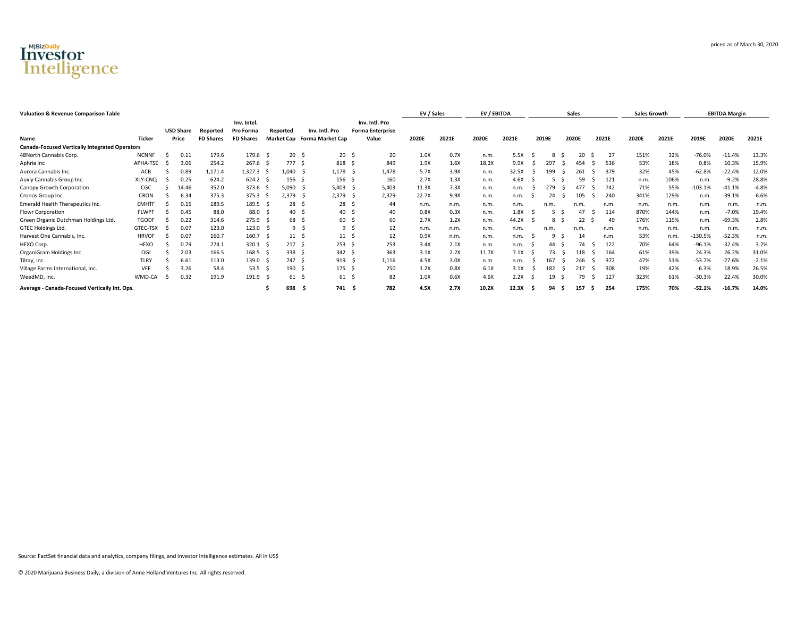

| <b>Valuation &amp; Revenue Comparison Table</b>       |              |                  |                  |                          |     |                   |                         |     |                                           | EV / Sales |       | EV / EBITDA |       |   |       |     | Sales |    |       | <b>Sales Growth</b> |       |           | <b>EBITDA Margin</b> |         |
|-------------------------------------------------------|--------------|------------------|------------------|--------------------------|-----|-------------------|-------------------------|-----|-------------------------------------------|------------|-------|-------------|-------|---|-------|-----|-------|----|-------|---------------------|-------|-----------|----------------------|---------|
|                                                       |              | <b>USD Share</b> | Reported         | Inv. Intel.<br>Pro Forma |     | Reported          | Inv. Intl. Pro          |     | Inv. Intl. Pro<br><b>Forma Enterprise</b> |            |       |             |       |   |       |     |       |    |       |                     |       |           |                      |         |
| Name                                                  | Ticker       | Price            | <b>FD Shares</b> | <b>FD Shares</b>         |     | <b>Market Cap</b> | <b>Forma Market Cap</b> |     | Value                                     | 2020E      | 2021E | 2020E       | 2021E |   | 2019E |     | 2020E |    | 2021E | 2020E               | 2021E | 2019E     | 2020E                | 2021E   |
| <b>Canada-Focused Vertically Integrated Operators</b> |              |                  |                  |                          |     |                   |                         |     |                                           |            |       |             |       |   |       |     |       |    |       |                     |       |           |                      |         |
| 48North Cannabis Corp.                                | <b>NCNNF</b> | 0.11             | 179.6            | 179.6                    |     | 20                | 20                      |     | 20                                        | 1.0X       | 0.7X  | n.m.        | 5.5X  |   |       |     | 20    |    | 27    | 151%                | 32%   | $-76.0%$  | $-11.4%$             | 13.3%   |
| Aphria Inc                                            | APHA-TSE     | 3.06             | 254.2            | 267.6                    |     | 777               | 818                     |     | 849                                       | 1.9X       | 1.6X  | 18.2X       | 9.9X  |   | 297   |     | 454   |    | 536   | 53%                 | 18%   | 0.8%      | 10.3%                | 15.9%   |
| Aurora Cannabis Inc.                                  | ACB          | 0.89             | 1,171.4          | 1,327.3 \$               |     | 1.040             | 1,178                   |     | 1,478                                     | 5.7X       | 3.9X  | n.m.        | 32.5X |   | 199   |     | 261   |    | 379   | 32%                 | 45%   | $-62.8%$  | $-22.4%$             | 12.0%   |
| Auxly Cannabis Group Inc.                             | XLY-CNQ      | 0.25             | 624.2            | 624.2                    |     | 156               | 156                     |     | 160                                       | 2.7X       | 1.3X  | n.m.        | 4.6X  |   |       |     | 59    |    | 121   | n.m.                | 106%  | n.m.      | $-9.2%$              | 28.8%   |
| Canopy Growth Corporation                             | CGC          | 14.46            | 352.0            | 373.6                    |     | 5.090             | 5,403                   |     | 5,403                                     | 11.3X      | 7.3X  | n.m.        | n.m.  |   | 279   |     |       |    | 742   | 71%                 | 55%   | $-103.1%$ | $-41.1%$             | $-4.8%$ |
| Cronos Group Inc.                                     | CRON         | 6.34             | 375.3            | 375.3                    | - 5 | 2,379             | 2,379<br>- 5            |     | 2,379                                     | 22.7X      | 9.9X  | n.m.        | n.m.  |   | 24    |     | 105   |    | 240   | 341%                | 129%  | n.m.      | $-39.1%$             | 6.6%    |
| Emerald Health Therapeutics Inc.                      | <b>EMHTF</b> | 0.15             | 189.5            | 189.5                    |     | 28                | 28                      |     | 44                                        | n.m.       | n.m.  | n.m.        | n.m.  |   | n.m   |     | n.m   |    | n.m.  | n.m.                | n.m   | n.m.      | n.m                  | n.m     |
| Flowr Corporation                                     | FLWPF        | 0.45             | 88.0             | 88.0                     |     | 40                | 40                      |     | 40                                        | 0.8X       | 0.3X  | n.m.        | 1.8X  |   |       |     | 47    |    | 114   | 870%                | 144%  | n.m.      | $-7.0%$              | 19.4%   |
| Green Organic Dutchman Holdings Ltd.                  | <b>TGODF</b> | 0.22             | 314.6            | 275.9                    |     | 68                | 60                      |     | 60                                        | 2.7X       | 1.2X  | n.m.        | 44.2X |   |       | 8   | 22    |    | 49    | 176%                | 119%  | n.m.      | $-69.3%$             | 2.8%    |
| <b>GTEC Holdings Ltd.</b>                             | GTEC-TSX     | 0.07             | 123.0            | 123.0                    |     | 9                 |                         | 9\$ | 12                                        | n.m.       | n.m.  | n.m.        | n.m.  |   | n.m   |     | n.m   |    | n.m.  | n.m.                | n.m.  | n.m       | n.m                  | n.m.    |
| Harvest One Cannabis, Inc.                            | <b>HRVOF</b> | 0.07             | 160.7            | 160.7                    |     | 11                | 11                      |     | 12                                        | 0.9X       | n.m.  | n.m.        | n.m.  |   |       | q   | 14    |    | n.m.  | 53%                 | n.m.  | $-130.5%$ | $-52.3%$             | n.m.    |
| HEXO Corp.                                            | HEXO         | 0.79             | 274.1            | 320.1                    |     | 217               | 253                     |     | 253                                       | 3.4X       | 2.1X  | n.m.        | n.m.  |   | 44    |     | 74    |    | 122   | 70%                 | 64%   | $-96.1%$  | $-32.4%$             | 3.2%    |
| OrganiGram Holdings Inc                               | OGI          | 2.03             | 166.5            | 168.5                    |     | 338               | 342S                    |     | 363                                       | 3.1X       | 2.2X  | 11.7X       | 7.1X  |   | 73    |     | 118   |    | 164   | 61%                 | 39%   | 24.3%     | 26.2%                | 31.0%   |
| Tilray, Inc.                                          | <b>TLRY</b>  | 6.61             | 113.0            | 139.0                    |     | 747               | 919                     |     | 1,116                                     | 4.5X       | 3.0X  | n.m.        | n.m.  |   | 167   |     | 246   |    | 372   | 47%                 | 51%   | $-53.7%$  | $-27.6%$             | $-2.1%$ |
| Village Farms International, Inc.                     | VFF          | 3.26             | 58.4             | 53.5                     |     | 190               | 175S                    |     | 250                                       | 1.2X       | 0.8X  | 6.1X        | 3.1X  |   | 182   |     |       |    | 308   | 19%                 | 42%   | 6.3%      | 18.9%                | 26.5%   |
| WeedMD, Inc.                                          | WMD-CA       | 0.32             | 191.9            | 191.9                    |     | 61                | 61 <sup>5</sup>         |     | 82                                        | 1.0X       | 0.6X  | 4.6X        | 2.2X  |   |       | 19  | 79    |    | 127   | 323%                | 61%   | $-30.3%$  | 22.4%                | 30.0%   |
| Average - Canada-Focused Vertically Int. Ops.         |              |                  |                  |                          |     | 698               | 741 \$                  |     | 782                                       | 4.5X       | 2.7X  | 10.2X       | 12.3X | S | 94    | - S | 157   | -5 | 254   | 175%                | 70%   | $-52.1%$  | $-16.7%$             | 14.0%   |

priced as of March 30, 2020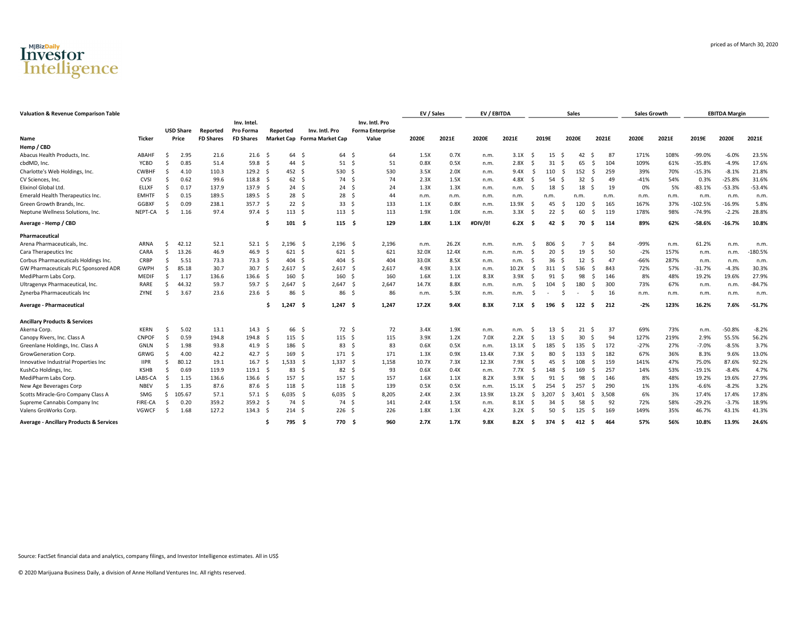

| Name                                               | <b>Ticker</b> |    | <b>USD Share</b><br>Price | Reported<br><b>FD Shares</b> | Inv. Intel.<br>Pro Forma<br><b>FD Shares</b> |     | Reported         | Inv. Intl. Pro<br>Market Cap Forma Market Cap |                  | Inv. Intl. Pro<br><b>Forma Enterprise</b><br>Value | 2020E | 2021E | 2020E   | 2021E |    | 2019E |          | 2020E          | 2021E |       | 2020E  | 2021E | 2019E     | 2020E    | 2021E     |
|----------------------------------------------------|---------------|----|---------------------------|------------------------------|----------------------------------------------|-----|------------------|-----------------------------------------------|------------------|----------------------------------------------------|-------|-------|---------|-------|----|-------|----------|----------------|-------|-------|--------|-------|-----------|----------|-----------|
| Hemp / CBD                                         |               |    |                           |                              |                                              |     |                  |                                               |                  |                                                    |       |       |         |       |    |       |          |                |       |       |        |       |           |          |           |
| Abacus Health Products, Inc.                       | <b>ABAHF</b>  | Š. | 2.95                      | 21.6                         | 21.6 <sub>5</sub>                            |     | 64 S             | 64                                            | - \$             | 64                                                 | 1.5X  | 0.7X  | n.m.    | 3.1X  | -Ś | 15    | -Ś       | 42             | -Ś    | 87    | 171%   | 108%  | $-99.0%$  | $-6.0%$  | 23.5%     |
| cbdMD, Inc.                                        | YCBD          | Š. | 0.85                      | 51.4                         | 59.8 <sup>5</sup>                            |     | 44               | - \$<br>51                                    | - \$             | 51                                                 | 0.8X  | 0.5X  | n.m.    | 2.8X  | S  | 31    | -S       | 65             | .S    | 104   | 109%   | 61%   | $-35.8%$  | $-4.9%$  | 17.6%     |
| Charlotte's Web Holdings, Inc.                     | <b>CWBHF</b>  | -Ś | 4.10                      | 110.3                        | 129.2 <sub>5</sub>                           |     | 452 \$           |                                               | 530 \$           | 530                                                | 3.5X  | 2.0X  | n.m.    | 9.4X  | -S | 110   | - S      | 152            | - Ś   | 259   | 39%    | 70%   | $-15.3%$  | $-8.1%$  | 21.8%     |
| CV Sciences, Inc.                                  | CVSI          | Š. | 0.62                      | 99.6                         | 118.8 <sup>5</sup>                           |     | 62 <sup>5</sup>  |                                               | 74 \$            | 74                                                 | 2.3X  | 1.5X  | n.m.    | 4.8X  | S  | 54    | - S      | 32             | - S   | 49    | $-41%$ | 54%   | 0.3%      | $-25.8%$ | 31.6%     |
| Elixinol Global Ltd.                               | <b>ELLXF</b>  | -Ś | 0.17                      | 137.9                        | 137.9 <sup>5</sup>                           |     | 24S              |                                               | 24S              | 24                                                 | 1.3X  | 1.3X  | n.m.    | n.m.  | -S | 18    | - S      | 18             | - Ś   | 19    | 0%     | 5%    | $-83.1%$  | $-53.3%$ | $-53.4%$  |
| Emerald Health Therapeutics Inc.                   | <b>EMHTF</b>  | -Ś | 0.15                      | 189.5                        | $189.5$ \$                                   |     | 28 <sup>5</sup>  |                                               | 28 <sup>5</sup>  | 44                                                 | n.m.  | n.m.  | n.m.    | n.m.  |    | n.m.  |          | n.m.           |       | n.m.  | n.m.   | n.m.  | n.m.      | n.m.     | n.m.      |
| Green Growth Brands, Inc.                          | <b>GGBXF</b>  |    | 0.09                      | 238.1                        | 357.7 S                                      |     | 22S              | 33                                            | - Ś              | 133                                                | 1.1X  | 0.8X  | n.m.    | 13.9X | -S | 45    | - S      | 120            | .S    | 165   | 167%   | 37%   | $-102.5%$ | $-16.9%$ | 5.8%      |
| Neptune Wellness Solutions, Inc.                   | NEPT-CA       | -Ś | 1.16                      | 97.4                         | 97.4 <sup>5</sup>                            |     | 113S             |                                               | 113 <sup>5</sup> | 113                                                | 1.9X  | 1.0X  | n.m.    | 3.3X  | S  | 22    | - S      | 60             | .S    | 119   | 178%   | 98%   | $-74.9%$  | $-2.2%$  | 28.8%     |
| Average - Hemp / CBD                               |               |    |                           |                              |                                              | .s  | 101 S            |                                               | 115 <sub>5</sub> | 129                                                | 1.8X  | 1.1X  | #DIV/0! | 6.2X  | -S | 42    | - S      | 70             | - S   | 114   | 89%    | 62%   | $-58.6%$  | $-16.7%$ | 10.8%     |
| Pharmaceutical                                     |               |    |                           |                              |                                              |     |                  |                                               |                  |                                                    |       |       |         |       |    |       |          |                |       |       |        |       |           |          |           |
| Arena Pharmaceuticals, Inc.                        | ARNA          | -S | 42.12                     | 52.1                         | 52.1                                         | - S | $2,196$ \$       | 2,196                                         | S.               | 2,196                                              | n.m.  | 26.2X | n.m.    | n.m   | .S | 806   | -Ś       | $\overline{7}$ | - Ś   | 84    | -99%   | n.m.  | 61.2%     | n.m.     | n.m.      |
| Cara Therapeutics Inc                              | CARA          | -S | 13.26                     | 46.9                         | 46.9                                         | - Ś | 621 S            | 621                                           | - \$             | 621                                                | 32.0X | 12.4X | n.m.    | n.m.  | S  | 20    | -S       | 19             | - Ś   | 50    | $-2%$  | 157%  | n.m.      | n.m.     | $-180.5%$ |
| Corbus Pharmaceuticals Holdings Inc.               | CRBP          | Ŝ. | 5.51                      | 73.3                         | 73.3 <sup>5</sup>                            |     | 404              | 404<br>- \$                                   | -S               | 404                                                | 33.0X | 8.5X  | n.m.    | n.m   | S  | 36    | - S      | 12             | - Ś   | 47    | $-66%$ | 287%  | n.m.      | n.m.     | n.m.      |
| GW Pharmaceuticals PLC Sponsored ADR               | GWPH          | -S | 85.18                     | 30.7                         | 30.7                                         | - S | 2,617            | 2,617<br>- S                                  | - S              | 2,617                                              | 4.9X  | 3.1X  | n.m.    | 10.2X | -S | 311   | - S      | 536            | .S    | 843   | 72%    | 57%   | $-31.7%$  | $-4.3%$  | 30.3%     |
| MediPharm Labs Corp.                               | <b>MEDIF</b>  | Š. | 1.17                      | 136.6                        | $136.6$ \$                                   |     | 160              | 160<br>- S                                    | - S              | 160                                                | 1.6X  | 1.1X  | 8.3X    | 3.9X  | S  | 91    | -S       | 98             | .S    | 146   | 8%     | 48%   | 19.2%     | 19.6%    | 27.9%     |
| Ultragenyx Pharmaceutical, Inc.                    | RARE          |    | 44.32                     | 59.7                         | 59.7 \$                                      |     | 2,647            | 2,647<br>- S                                  | -S               | 2,647                                              | 14.7X | 8.8X  | n.m.    | n.m.  | -S | 104   | -S       | 180            | \$.   | 300   | 73%    | 67%   | n.m.      | n.m.     | $-84.7%$  |
| Zynerba Pharmaceuticals Inc                        | ZYNE          | Ŝ. | 3.67                      | 23.6                         | 23.6                                         | - S | 86               | - Ś<br>86                                     | - Ś              | 86                                                 | n.m.  | 5.3X  | n.m.    | n.m.  | S  |       | -S       |                | -S    | 16    | n.m.   | n.m.  | n.m.      | n.m.     | n.m.      |
| Average - Pharmaceutical                           |               |    |                           |                              |                                              | Ŝ   | 1,247            | - \$<br>1,247                                 | - \$             | 1,247                                              | 17.2X | 9.4X  | 8.3X    | 7.1X  | -Ś | 196   | - S      | 122            | Ŝ.    | 212   | $-2%$  | 123%  | 16.2%     | 7.6%     | $-51.7%$  |
| <b>Ancillary Products &amp; Services</b>           |               |    |                           |                              |                                              |     |                  |                                               |                  |                                                    |       |       |         |       |    |       |          |                |       |       |        |       |           |          |           |
| Akerna Corp.                                       | <b>KERN</b>   | Ŝ. | 5.02                      | 13.1                         | 14.3 <sup>5</sup>                            |     | 66 \$            |                                               | 72 \$            | 72                                                 | 3.4X  | 1.9X  | n.m.    | n.m.  | -S | 13    | - S      | 21             | - Ś   | 37    | 69%    | 73%   | n.m.      | $-50.8%$ | $-8.2%$   |
| Canopy Rivers, Inc. Class A                        | <b>CNPOF</b>  | Ŝ. | 0.59                      | 194.8                        | 194.8 \$                                     |     | 115S             |                                               | $115 \quad$ \$   | 115                                                | 3.9X  | 1.2X  | 7.0X    | 2.2X  | -S |       | 13<br>-S | 30             | - Ś   | 94    | 127%   | 219%  | 2.9%      | 55.5%    | 56.2%     |
| Greenlane Holdings, Inc. Class A                   | <b>GNLN</b>   |    | 1.98                      | 93.8                         | 41.9 \$                                      |     | 186 \$           | 83                                            | - S              | 83                                                 | 0.6X  | 0.5X  | n.m.    | 13.1X | -S | 185   | - S      | 135            | -S    | 172   | $-27%$ | 27%   | $-7.0%$   | $-8.5%$  | 3.7%      |
| GrowGeneration Corp.                               | GRWG          |    | 4.00                      | 42.2                         | 42.7 \$                                      |     | 169              | 171<br>- S                                    | - S              | 171                                                | 1.3X  | 0.9X  | 13.4X   | 7.3X  | -S |       | 80<br>-S | 133            | .s    | 182   | 67%    | 36%   | 8.3%      | 9.6%     | 13.0%     |
| Innovative Industrial Properties Inc               | <b>IIPR</b>   |    | 80.12                     | 19.1                         | 16.7 <sup>5</sup>                            |     | 1.533 S          | 1,337                                         | - S              | 1,158                                              | 10.7X | 7.3X  | 12.3X   | 7.9X  | -S |       | 45<br>-S | 108            | .s    | 159   | 141%   | 47%   | 75.0%     | 87.6%    | 92.2%     |
| KushCo Holdings, Inc.                              | <b>KSHB</b>   |    | 0.69                      | 119.9                        | $119.1 \quad$ \$                             |     | 83               | 82<br>- S                                     | - S              | 93                                                 | 0.6X  | 0.4X  | n.m.    | 7.7X  | -S | 148   | -S       | 169            | - Ś   | 257   | 14%    | 53%   | $-19.1%$  | $-8.4%$  | 4.7%      |
| MediPharm Labs Corp.                               | LABS-CA       |    | 1.15                      | 136.6                        | 136.6 <sup>5</sup>                           |     | 157              | - \$<br>157                                   | - S              | 157                                                | 1.6X  | 1.1X  | 8.2X    | 3.9X  | Ś  | 91    | -Ś       | 98             | .S    | 146   | 8%     | 48%   | 19.2%     | 19.6%    | 27.9%     |
| New Age Beverages Corp                             | <b>NBEV</b>   |    | 1.35                      | 87.6                         | 87.6 <sup>5</sup>                            |     | 118 <sup>5</sup> | 118                                           | - S              | 139                                                | 0.5X  | 0.5X  | n.m.    | 15.1X | -S | 254   | -S       | 257            | .S    | 290   | 1%     | 13%   | $-6.6%$   | $-8.2%$  | 3.2%      |
| Scotts Miracle-Gro Company Class A                 | SMG           |    | 105.67                    | 57.1                         | $57.1 \quad$                                 |     | $6,035$ \$       | $6,035$ \$                                    |                  | 8,205                                              | 2.4X  | 2.3X  | 13.9X   | 13.2X | S. | 3.207 | -S       | 3.401          | S.    | 3,508 | 6%     | 3%    | 17.4%     | 17.4%    | 17.8%     |
| Supreme Cannabis Company Inc                       | FIRE-CA       |    | 0.20                      | 359.2                        | 359.2 S                                      |     | 74 \$            |                                               | 74 S             | 141                                                | 2.4X  | 1.5X  | n.m.    | 8.1X  | -Ś | 34    | -Ś       | 58             | -Ś    | 92    | 72%    | 58%   | $-29.2%$  | $-3.7%$  | 18.9%     |
| Valens GroWorks Corp.                              | <b>VGWCF</b>  |    | 1.68                      | 127.2                        | 134.3 <sup>5</sup>                           |     | 214S             |                                               | 226 <sub>5</sub> | 226                                                | 1.8X  | 1.3X  | 4.2X    | 3.2X  | S  | 50    | -S       | 125            | - Ś   | 169   | 149%   | 35%   | 46.7%     | 43.1%    | 41.3%     |
| <b>Average - Ancillary Products &amp; Services</b> |               |    |                           |                              |                                              |     | 795              | 770                                           | -S               | 960                                                | 2.7X  | 1.7X  | 9.8X    | 8.2X  | -Ś | 374   | - Ś      | 412            | - Ś   | 464   | 57%    | 56%   | 10.8%     | 13.9%    | 24.6%     |

Valuation & Revenue Comparison Table **EBITDA** Margin **COMPATISON** EV / Sales EV / EBITDA Sales Sales Sales Sales Sales Sales Sales Sales Sales Sales Sales Sales Sales Sales Sales Sales Sales Sales Sales Sales Sales Sales S

priced as of March 30, 2020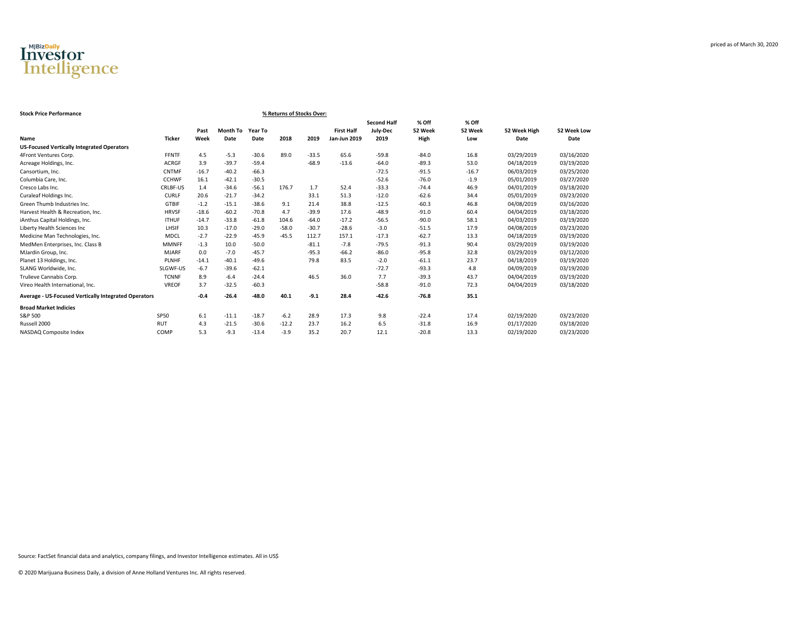

| <b>Stock Price Performance</b><br>% Returns of Stocks Over: |               |         |                 |         |         |         |                   |                    |         |         |              |             |  |
|-------------------------------------------------------------|---------------|---------|-----------------|---------|---------|---------|-------------------|--------------------|---------|---------|--------------|-------------|--|
|                                                             |               |         |                 |         |         |         |                   | <b>Second Half</b> | % Off   | % Off   |              |             |  |
|                                                             |               | Past    | <b>Month To</b> | Year To |         |         | <b>First Half</b> | July-Dec           | 52 Week | 52 Week | 52 Week High | 52 Week Low |  |
| Name                                                        | <b>Ticker</b> | Week    | Date            | Date    | 2018    | 2019    | Jan-Jun 2019      | 2019               | High    | Low     | Date         | Date        |  |
| <b>US-Focused Vertically Integrated Operators</b>           |               |         |                 |         |         |         |                   |                    |         |         |              |             |  |
| 4Front Ventures Corp.                                       | <b>FFNTF</b>  | 4.5     | $-5.3$          | $-30.6$ | 89.0    | $-33.5$ | 65.6              | $-59.8$            | $-84.0$ | 16.8    | 03/29/2019   | 03/16/2020  |  |
| Acreage Holdings, Inc.                                      | <b>ACRGF</b>  | 3.9     | $-39.7$         | $-59.4$ |         | $-68.9$ | $-13.6$           | $-64.0$            | $-89.3$ | 53.0    | 04/18/2019   | 03/19/2020  |  |
| Cansortium, Inc.                                            | <b>CNTMF</b>  | $-16.7$ | $-40.2$         | $-66.3$ |         |         |                   | $-72.5$            | $-91.5$ | $-16.7$ | 06/03/2019   | 03/25/2020  |  |
| Columbia Care, Inc.                                         | <b>CCHWF</b>  | 16.1    | $-42.1$         | $-30.5$ |         |         |                   | $-52.6$            | $-76.0$ | $-1.9$  | 05/01/2019   | 03/27/2020  |  |
| Cresco Labs Inc.                                            | CRLBF-US      | 1.4     | $-34.6$         | $-56.1$ | 176.7   | 1.7     | 52.4              | $-33.3$            | $-74.4$ | 46.9    | 04/01/2019   | 03/18/2020  |  |
| Curaleaf Holdings Inc.                                      | <b>CURLF</b>  | 20.6    | $-21.7$         | $-34.2$ |         | 33.1    | 51.3              | $-12.0$            | $-62.6$ | 34.4    | 05/01/2019   | 03/23/2020  |  |
| Green Thumb Industries Inc.                                 | <b>GTBIF</b>  | $-1.2$  | $-15.1$         | $-38.6$ | 9.1     | 21.4    | 38.8              | $-12.5$            | $-60.3$ | 46.8    | 04/08/2019   | 03/16/2020  |  |
| Harvest Health & Recreation, Inc.                           | <b>HRVSF</b>  | $-18.6$ | $-60.2$         | $-70.8$ | 4.7     | $-39.9$ | 17.6              | $-48.9$            | $-91.0$ | 60.4    | 04/04/2019   | 03/18/2020  |  |
| iAnthus Capital Holdings, Inc.                              | <b>ITHUF</b>  | $-14.7$ | $-33.8$         | $-61.8$ | 104.6   | $-64.0$ | $-17.2$           | $-56.5$            | $-90.0$ | 58.1    | 04/03/2019   | 03/19/2020  |  |
| Liberty Health Sciences Inc                                 | LHSIF         | 10.3    | $-17.0$         | $-29.0$ | $-58.0$ | $-30.7$ | $-28.6$           | $-3.0$             | $-51.5$ | 17.9    | 04/08/2019   | 03/23/2020  |  |
| Medicine Man Technologies, Inc.                             | MDCL          | $-2.7$  | $-22.9$         | $-45.9$ | $-45.5$ | 112.7   | 157.1             | $-17.3$            | $-62.7$ | 13.3    | 04/18/2019   | 03/19/2020  |  |
| MedMen Enterprises, Inc. Class B                            | <b>MMNFF</b>  | $-1.3$  | 10.0            | $-50.0$ |         | $-81.1$ | $-7.8$            | $-79.5$            | $-91.3$ | 90.4    | 03/29/2019   | 03/19/2020  |  |
| MJardin Group, Inc.                                         | <b>MJARF</b>  | 0.0     | $-7.0$          | $-45.7$ |         | $-95.3$ | $-66.2$           | $-86.0$            | $-95.8$ | 32.8    | 03/29/2019   | 03/12/2020  |  |
| Planet 13 Holdings, Inc.                                    | <b>PLNHF</b>  | $-14.1$ | $-40.1$         | $-49.6$ |         | 79.8    | 83.5              | $-2.0$             | $-61.1$ | 23.7    | 04/18/2019   | 03/19/2020  |  |
| SLANG Worldwide, Inc.                                       | SLGWF-US      | $-6.7$  | $-39.6$         | $-62.1$ |         |         |                   | $-72.7$            | $-93.3$ | 4.8     | 04/09/2019   | 03/19/2020  |  |
| Trulieve Cannabis Corp.                                     | <b>TCNNF</b>  | 8.9     | $-6.4$          | $-24.4$ |         | 46.5    | 36.0              | 7.7                | $-39.3$ | 43.7    | 04/04/2019   | 03/19/2020  |  |
| Vireo Health International, Inc.                            | <b>VREOF</b>  | 3.7     | $-32.5$         | $-60.3$ |         |         |                   | $-58.8$            | $-91.0$ | 72.3    | 04/04/2019   | 03/18/2020  |  |
| <b>Average - US-Focused Vertically Integrated Operators</b> |               | $-0.4$  | $-26.4$         | $-48.0$ | 40.1    | $-9.1$  | 28.4              | $-42.6$            | $-76.8$ | 35.1    |              |             |  |
| <b>Broad Market Indicies</b>                                |               |         |                 |         |         |         |                   |                    |         |         |              |             |  |
| S&P 500                                                     | <b>SP50</b>   | 6.1     | $-11.1$         | $-18.7$ | $-6.2$  | 28.9    | 17.3              | 9.8                | $-22.4$ | 17.4    | 02/19/2020   | 03/23/2020  |  |
| Russell 2000                                                | <b>RUT</b>    | 4.3     | $-21.5$         | $-30.6$ | $-12.2$ | 23.7    | 16.2              | 6.5                | $-31.8$ | 16.9    | 01/17/2020   | 03/18/2020  |  |
| NASDAQ Composite Index                                      | COMP          | 5.3     | $-9.3$          | $-13.4$ | $-3.9$  | 35.2    | 20.7              | 12.1               | $-20.8$ | 13.3    | 02/19/2020   | 03/23/2020  |  |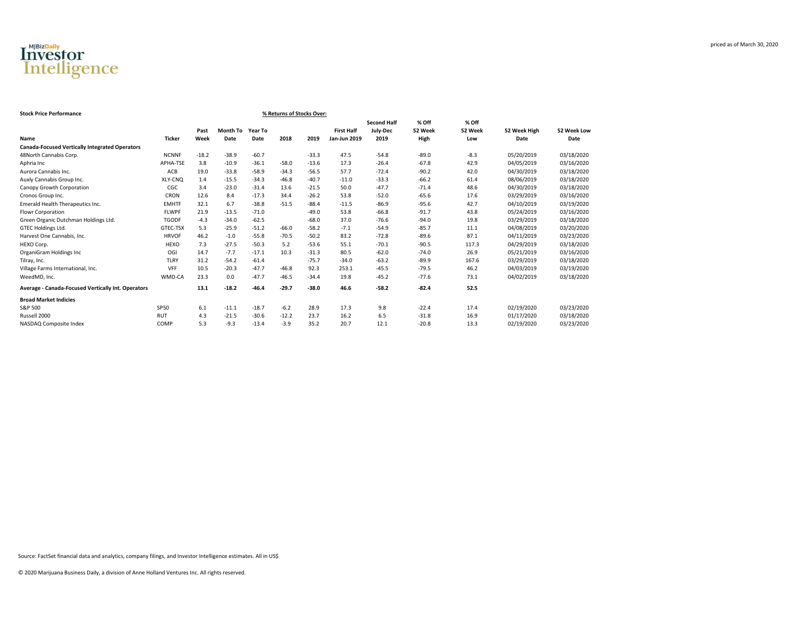

| % Returns of Stocks Over:<br><b>Stock Price Performance</b> |               |         |                 |         |         |         |                     |                    |         |         |              |             |  |
|-------------------------------------------------------------|---------------|---------|-----------------|---------|---------|---------|---------------------|--------------------|---------|---------|--------------|-------------|--|
|                                                             |               |         |                 |         |         |         |                     | <b>Second Half</b> | % Off   | % Off   |              |             |  |
|                                                             |               | Past    | <b>Month To</b> | Year To |         |         | <b>First Half</b>   | July-Dec           | 52 Week | 52 Week | 52 Week High | 52 Week Low |  |
| Name                                                        | <b>Ticker</b> | Week    | Date            | Date    | 2018    | 2019    | <b>Jan-Jun 2019</b> | 2019               | High    | Low     | Date         | Date        |  |
| <b>Canada-Focused Vertically Integrated Operators</b>       |               |         |                 |         |         |         |                     |                    |         |         |              |             |  |
| 48North Cannabis Corp.                                      | <b>NCNNF</b>  | $-18.2$ | $-38.9$         | $-60.7$ |         | $-33.3$ | 47.5                | $-54.8$            | $-89.0$ | $-8.3$  | 05/20/2019   | 03/18/2020  |  |
| Aphria Inc                                                  | APHA-TSE      | 3.8     | $-10.9$         | $-36.1$ | $-58.0$ | $-13.6$ | 17.3                | $-26.4$            | $-67.8$ | 42.9    | 04/05/2019   | 03/16/2020  |  |
| Aurora Cannabis Inc.                                        | ACB           | 19.0    | $-33.8$         | $-58.9$ | $-34.3$ | $-56.5$ | 57.7                | $-72.4$            | $-90.2$ | 42.0    | 04/30/2019   | 03/18/2020  |  |
| Auxly Cannabis Group Inc.                                   | XLY-CNQ       | 1.4     | $-15.5$         | $-34.3$ | $-46.8$ | $-40.7$ | $-11.0$             | $-33.3$            | $-66.2$ | 61.4    | 08/06/2019   | 03/18/2020  |  |
| Canopy Growth Corporation                                   | CGC           | 3.4     | $-23.0$         | $-31.4$ | 13.6    | $-21.5$ | 50.0                | $-47.7$            | $-71.4$ | 48.6    | 04/30/2019   | 03/18/2020  |  |
| Cronos Group Inc.                                           | CRON          | 12.6    | 8.4             | $-17.3$ | 34.4    | $-26.2$ | 53.8                | $-52.0$            | $-65.6$ | 17.6    | 03/29/2019   | 03/16/2020  |  |
| Emerald Health Therapeutics Inc.                            | <b>EMHTF</b>  | 32.1    | 6.7             | $-38.8$ | $-51.5$ | $-88.4$ | $-11.5$             | $-86.9$            | $-95.6$ | 42.7    | 04/10/2019   | 03/19/2020  |  |
| Flowr Corporation                                           | <b>FLWPF</b>  | 21.9    | $-13.5$         | $-71.0$ |         | $-49.0$ | 53.8                | $-66.8$            | $-91.7$ | 43.8    | 05/24/2019   | 03/16/2020  |  |
| Green Organic Dutchman Holdings Ltd.                        | <b>TGODF</b>  | $-4.3$  | $-34.0$         | $-62.5$ |         | $-68.0$ | 37.0                | $-76.6$            | $-94.0$ | 19.8    | 03/29/2019   | 03/18/2020  |  |
| GTEC Holdings Ltd.                                          | GTEC-TSX      | 5.3     | $-25.9$         | $-51.2$ | $-66.0$ | $-58.2$ | $-7.1$              | $-54.9$            | $-85.7$ | 11.1    | 04/08/2019   | 03/20/2020  |  |
| Harvest One Cannabis, Inc.                                  | <b>HRVOF</b>  | 46.2    | $-1.0$          | $-55.8$ | $-70.5$ | $-50.2$ | 83.2                | $-72.8$            | $-89.6$ | 87.1    | 04/11/2019   | 03/23/2020  |  |
| HEXO Corp.                                                  | <b>HEXO</b>   | 7.3     | $-27.5$         | $-50.3$ | 5.2     | $-53.6$ | 55.1                | $-70.1$            | $-90.5$ | 117.3   | 04/29/2019   | 03/18/2020  |  |
| OrganiGram Holdings Inc                                     | OGI           | 14.7    | $-7.7$          | $-17.1$ | 10.3    | $-31.3$ | 80.5                | $-62.0$            | $-74.0$ | 26.9    | 05/21/2019   | 03/16/2020  |  |
| Tilray, Inc.                                                | <b>TLRY</b>   | 31.2    | $-54.2$         | $-61.4$ |         | $-75.7$ | $-34.0$             | $-63.2$            | $-89.9$ | 167.6   | 03/29/2019   | 03/18/2020  |  |
| Village Farms International, Inc.                           | <b>VFF</b>    | 10.5    | $-20.3$         | $-47.7$ | $-46.8$ | 92.3    | 253.1               | $-45.5$            | $-79.5$ | 46.2    | 04/03/2019   | 03/19/2020  |  |
| WeedMD, Inc.                                                | WMD-CA        | 23.3    | 0.0             | $-47.7$ | $-46.5$ | $-34.4$ | 19.8                | $-45.2$            | $-77.6$ | 73.1    | 04/02/2019   | 03/18/2020  |  |
| Average - Canada-Focused Vertically Int. Operators          |               | 13.1    | $-18.2$         | $-46.4$ | $-29.7$ | $-38.0$ | 46.6                | $-58.2$            | $-82.4$ | 52.5    |              |             |  |
| <b>Broad Market Indicies</b>                                |               |         |                 |         |         |         |                     |                    |         |         |              |             |  |
| S&P 500                                                     | <b>SP50</b>   | 6.1     | $-11.1$         | $-18.7$ | $-6.2$  | 28.9    | 17.3                | 9.8                | $-22.4$ | 17.4    | 02/19/2020   | 03/23/2020  |  |
| Russell 2000                                                | <b>RUT</b>    | 4.3     | $-21.5$         | $-30.6$ | $-12.2$ | 23.7    | 16.2                | 6.5                | $-31.8$ | 16.9    | 01/17/2020   | 03/18/2020  |  |
| NASDAQ Composite Index                                      | COMP          | 5.3     | $-9.3$          | $-13.4$ | $-3.9$  | 35.2    | 20.7                | 12.1               | $-20.8$ | 13.3    | 02/19/2020   | 03/23/2020  |  |